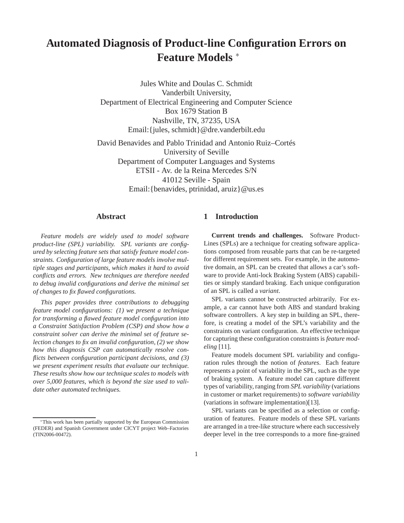# **Automated Diagnosis of Product-line Configuration Errors on Feature Models** <sup>∗</sup>

Jules White and Doulas C. Schmidt Vanderbilt University, Department of Electrical Engineering and Computer Science Box 1679 Station B Nashville, TN, 37235, USA Email:{jules, schmidt}@dre.vanderbilt.edu

David Benavides and Pablo Trinidad and Antonio Ruiz–Cortés University of Seville Department of Computer Languages and Systems ETSII - Av. de la Reina Mercedes S/N 41012 Seville - Spain Email:{benavides, ptrinidad, aruiz}@us.es

## **Abstract**

*Feature models are widely used to model software product-line (SPL) variability. SPL variants are configured by selecting feature sets that satisfy feature model constraints. Configuration of large feature models involve multiple stages and participants, which makes it hard to avoid conflicts and errors. New techniques are therefore needed to debug invalid configurations and derive the minimal set of changes to fix flawed configurations.*

*This paper provides three contributions to debugging feature model configurations: (1) we present a technique for transforming a flawed feature model configuration into a Constraint Satisfaction Problem (CSP) and show how a constraint solver can derive the minimal set of feature selection changes to fix an invalid configuration, (2) we show how this diagnosis CSP can automatically resolve conflicts between configuration participant decisions, and (3) we present experiment results that evaluate our technique. These results show how our technique scales to models with over 5,000 features, which is beyond the size used to validate other automated techniques.*

# **1 Introduction**

**Current trends and challenges.** Software Product-Lines (SPLs) are a technique for creating software applications composed from reusable parts that can be re-targeted for different requirement sets. For example, in the automotive domain, an SPL can be created that allows a car's software to provide Anti-lock Braking System (ABS) capabilities or simply standard braking. Each unique configuration of an SPL is called a *variant*.

SPL variants cannot be constructed arbitrarily. For example, a car cannot have both ABS and standard braking software controllers. A key step in building an SPL, therefore, is creating a model of the SPL's variability and the constraints on variant configuration. An effective technique for capturing these configuration constraints is *feature modeling* [11].

Feature models document SPL variability and configuration rules through the notion of *features*. Each feature represents a point of variability in the SPL, such as the type of braking system. A feature model can capture different types of variability, ranging from *SPL variability* (variations in customer or market requirements) to *software variability* (variations in software implementation)[13].

SPL variants can be specified as a selection or configuration of features. Feature models of these SPL variants are arranged in a tree-like structure where each successively deeper level in the tree corresponds to a more fine-grained

<sup>∗</sup>This work has been partially supported by the European Commission (FEDER) and Spanish Government under CICYT project Web–Factories (TIN2006-00472).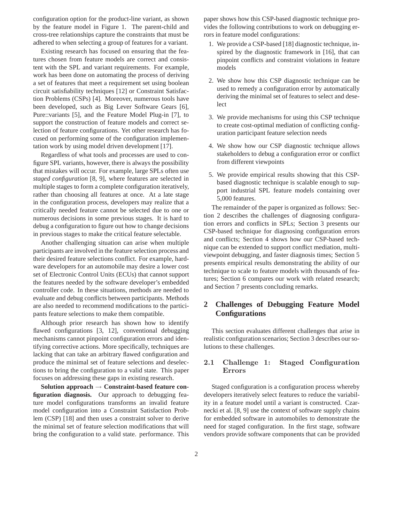configuration option for the product-line variant, as shown by the feature model in Figure 1. The parent-child and cross-tree relationships capture the constraints that must be adhered to when selecting a group of features for a variant.

Existing research has focused on ensuring that the features chosen from feature models are correct and consistent with the SPL and variant requirements. For example, work has been done on automating the process of deriving a set of features that meet a requirement set using boolean circuit satisfiability techniques [12] or Constraint Satisfaction Problems (CSPs) [4]. Moreover, numerous tools have been developed, such as Big Lever Software Gears [6], Pure::variants [5], and the Feature Model Plug-in [7], to support the construction of feature models and correct selection of feature configurations. Yet other research has focused on performing some of the configuration implementation work by using model driven development [17].

Regardless of what tools and processes are used to configure SPL variants, however, there is always the possibility that mistakes will occur. For example, large SPLs often use *staged configuration* [8, 9], where features are selected in multiple stages to form a complete configuration iteratively, rather than choosing all features at once. At a late stage in the configuration process, developers may realize that a critically needed feature cannot be selected due to one or numerous decisions in some previous stages. It is hard to debug a configuration to figure out how to change decisions in previous stages to make the critical feature selectable.

Another challenging situation can arise when multiple participants are involved in the feature selection process and their desired feature selections conflict. For example, hardware developers for an automobile may desire a lower cost set of Electronic Control Units (ECUs) that cannot support the features needed by the software developer's embedded controller code. In these situations, methods are needed to evaluate and debug conflicts between participants. Methods are also needed to recommend modifications to the participants feature selections to make them compatible.

Although prior research has shown how to identify flawed configurations [3, 12], conventional debugging mechanisms cannot pinpoint configuration errors and identifying corrective actions. More specifically, techniques are lacking that can take an arbitrary flawed configuration and produce the minimal set of feature selections and deselections to bring the configuration to a valid state. This paper focuses on addressing these gaps in existing research.

**Solution approach** → **Constraint-based feature configuration diagnosis.** Our approach to debugging feature model configurations transforms an invalid feature model configuration into a Constraint Satisfaction Problem (CSP) [18] and then uses a constraint solver to derive the minimal set of feature selection modifications that will bring the configuration to a valid state. performance. This paper shows how this CSP-based diagnostic technique provides the following contributions to work on debugging errors in feature model configurations:

- 1. We provide a CSP-based [18] diagnostic technique, inspired by the diagnostic framework in [16], that can pinpoint conflicts and constraint violations in feature models
- 2. We show how this CSP diagnostic technique can be used to remedy a configuration error by automatically deriving the minimal set of features to select and deselect
- 3. We provide mechanisms for using this CSP technique to create cost-optimal mediation of conflicting configuration participant feature selection needs
- 4. We show how our CSP diagnostic technique allows stakeholders to debug a configuration error or conflict from different viewpoints
- 5. We provide empirical results showing that this CSPbased diagnostic technique is scalable enough to support industrial SPL feature models containing over 5,000 features.

The remainder of the paper is organized as follows: Section 2 describes the challenges of diagnosing configuration errors and conflicts in SPLs; Section 3 presents our CSP-based technique for diagnosing configuration errors and conflicts; Section 4 shows how our CSP-based technique can be extended to support conflict mediation, multiviewpoint debugging, and faster diagnosis times; Section 5 presents empirical results demonstrating the ability of our technique to scale to feature models with thousands of features; Section 6 compares our work with related research; and Section 7 presents concluding remarks.

## **2 Challenges of Debugging Feature Model Configurations**

This section evaluates different challenges that arise in realistic configuration scenarios; Section 3 describes oursolutions to these challenges.

## 2.1 Challenge 1: Staged Configuration Errors

Staged configuration is a configuration process whereby developers iteratively select features to reduce the variability in a feature model until a variant is constructed. Czarnecki et al. [8, 9] use the context of software supply chains for embedded software in automobiles to demonstrate the need for staged configuration. In the first stage, software vendors provide software components that can be provided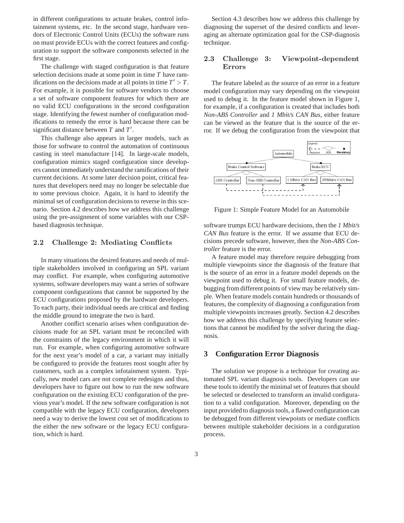in different configurations to actuate brakes, control infotainment systems, etc. In the second stage, hardware vendors of Electronic Control Units (ECUs) the software runs on must provide ECUs with the correct features and configuration to support the software components selected in the first stage.

The challenge with staged configuration is that feature selection decisions made at some point in time *T* have ramifications on the decisions made at all points in time  $T' > T$ . For example, it is possible for software vendors to choose a set of software component features for which there are no valid ECU configurations in the second configuration stage. Identifying the fewest number of configuration modifications to remedy the error is hard because there can be significant distance between *T* and *T* ′ .

This challenge also appears in larger models, such as those for software to control the automation of continuous casting in steel manufacture [14]. In large-scale models, configuration mimics staged configuration since developers cannot immediately understand the ramifications of their current decisions. At some later decision point, critical features that developers need may no longer be selectable due to some previous choice. Again, it is hard to identify the minimal set of configuration decisions to reverse in this scenario. Section 4.2 describes how we address this challenge using the pre-assignment of some variables with our CSPbased diagnosis technique.

#### 2.2 Challenge 2: Mediating Conflicts

In many situations the desired features and needs of multiple stakeholders involved in configuring an SPL variant may conflict. For example, when configuring automotive systems, software developers may want a series of software component configurations that cannot be supported by the ECU configurations proposed by the hardware developers. To each party, their individual needs are critical and finding the middle ground to integrate the two is hard.

Another conflict scenario arises when configuration decisions made for an SPL variant must be reconciled with the constraints of the legacy environment in which it will run. For example, when configuring automotive software for the next year's model of a car, a variant may initially be configured to provide the features most sought after by customers, such as a complex infotainment system. Typically, new model cars are not complete redesigns and thus, developers have to figure out how to run the new software configuration on the existing ECU configuration of the previous year's model. If the new software configuration is not compatible with the legacy ECU configuration, developers need a way to derive the lowest cost set of modifications to the either the new software or the legacy ECU configuration, which is hard.

Section 4.3 describes how we address this challenge by diagnosing the superset of the desired conflicts and leveraging an alternate optimization goal for the CSP-diagnosis technique.

## 2.3 Challenge 3: Viewpoint-dependent Errors

The feature labeled as the source of an error in a feature model configuration may vary depending on the viewpoint used to debug it. In the feature model shown in Figure 1, for example, if a configuration is created that includes both *Non-ABS Controller* and *1 Mbit/s CAN Bus*, either feature can be viewed as the feature that is the source of the error. If we debug the configuration from the viewpoint that



Figure 1: Simple Feature Model for an Automobile

software trumps ECU hardware decisions, then the *1 Mbit/s CAN Bus* feature is the error. If we assume that ECU decisions precede software, however, then the *Non-ABS Controller* feature is the error.

A feature model may therefore require debugging from multiple viewpoints since the diagnosis of the feature that is the source of an error in a feature model depends on the viewpoint used to debug it. For small feature models, debugging from different points of view may be relatively simple. When feature models contain hundreds or thousands of features, the complexity of diagnosing a configuration from multiple viewpoints increases greatly. Section 4.2 describes how we address this challenge by specifying feature selections that cannot be modified by the solver during the diagnosis.

## **3 Configuration Error Diagnosis**

The solution we propose is a technique for creating automated SPL variant diagnosis tools. Developers can use these tools to identify the minimal set of features that should be selected or deselected to transform an invalid configuration to a valid configuration. Moreover, depending on the input provided to diagnosis tools, a flawed configuration can be debugged from different viewpoints or mediate conflicts between multiple stakeholder decisions in a configuration process.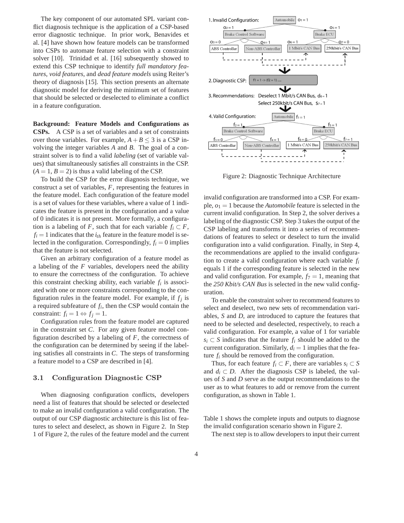The key component of our automated SPL variant conflict diagnosis technique is the application of a CSP-based error diagnostic technique. In prior work, Benavides et al. [4] have shown how feature models can be transformed into CSPs to automate feature selection with a constraint solver [10]. Trinidad et al. [16] subsequently showed to extend this CSP technique to identify *full mandatory features*, *void features*, and *dead feature models* using Reiter's theory of diagnosis [15]. This section presents an alternate diagnostic model for deriving the minimum set of features that should be selected or deselected to eliminate a conflict in a feature configuration.

**Background: Feature Models and Configurations as CSPs.** A CSP is a set of variables and a set of constraints over those variables. For example,  $A + B \le 3$  is a CSP involving the integer variables *A* and *B*. The goal of a constraint solver is to find a valid *labeling* (set of variable values) that simultaneously satisfies all constraints in the CSP.  $(A = 1, B = 2)$  is thus a valid labeling of the CSP.

To build the CSP for the error diagnosis technique, we construct a set of variables, *F*, representing the features in the feature model. Each configuration of the feature model is a set of values for these variables, where a value of 1 indicates the feature is present in the configuration and a value of 0 indicates it is not present. More formally, a configuration is a labeling of *F*, such that for each variable  $f_i \subset F$ ,  $f_i = 1$  indicates that the  $i_{th}$  feature in the feature model is selected in the configuration. Correspondingly,  $f_i = 0$  implies that the feature is not selected.

Given an arbitrary configuration of a feature model as a labeling of the *F* variables, developers need the ability to ensure the correctness of the configuration. To achieve this constraint checking ability, each variable  $f_i$  is associated with one or more constraints corresponding to the configuration rules in the feature model. For example, if  $f_j$  is a required subfeature of *f<sup>i</sup>* , then the CSP would contain the constraint:  $f_i = 1 \Leftrightarrow f_j = 1$ .

Configuration rules from the feature model are captured in the constraint set *C*. For any given feature model configuration described by a labeling of  $F$ , the correctness of the configuration can be determined by seeing if the labeling satisfies all constraints in *C*. The steps of transforming a feature model to a CSP are described in [4].

#### 3.1 Configuration Diagnostic CSP

When diagnosing configuration conflicts, developers need a list of features that should be selected or deselected to make an invalid configuration a valid configuration. The output of our CSP diagnostic architecture is this list of features to select and deselect, as shown in Figure 2. In Step 1 of Figure 2, the rules of the feature model and the current



Figure 2: Diagnostic Technique Architecture

invalid configuration are transformed into a CSP. For example,  $o_1 = 1$  because the *Automobile* feature is selected in the current invalid configuration. In Step 2, the solver derives a labeling of the diagnostic CSP. Step 3 takes the output of the CSP labeling and transforms it into a series of recommendations of features to select or deselect to turn the invalid configuration into a valid configuration. Finally, in Step 4, the recommendations are applied to the invalid configuration to create a valid configuration where each variable *f<sup>i</sup>* equals 1 if the corresponding feature is selected in the new and valid configuration. For example,  $f_7 = 1$ , meaning that the *250 Kbit/s CAN Bus* is selected in the new valid configuration.

To enable the constraint solver to recommend features to select and deselect, two new sets of recommendation variables, *S* and *D*, are introduced to capture the features that need to be selected and deselected, respectively, to reach a valid configuration. For example, a value of 1 for variable *s*<sup>*i*</sup> ⊂ *S* indicates that the feature  $f_i$  should be added to the current configuration. Similarly,  $d_i = 1$  implies that the feature  $f_i$  should be removed from the configuration.

Thus, for each feature  $f_i \subset F$ , there are variables  $s_i \subset S$ and  $d_i \subset D$ . After the diagnosis CSP is labeled, the values of *S* and *D* serve as the output recommendations to the user as to what features to add or remove from the current configuration, as shown in Table 1.

Table 1 shows the complete inputs and outputs to diagnose the invalid configuration scenario shown in Figure 2.

The next step is to allow developers to input their current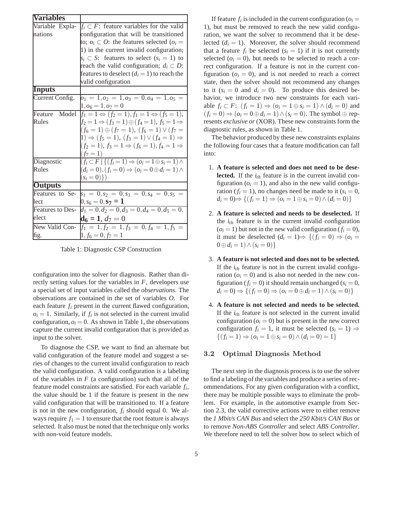| <b>Variables</b>        |                                                                         |
|-------------------------|-------------------------------------------------------------------------|
| Variable Expla-         | $f_i \subset F$ : feature variables for the valid                       |
| nations                 | configuration that will be transitioned                                 |
|                         | to; $o_i \subset O$ : the features selected ( $o_i =$                   |
|                         | 1) in the current invalid configuration;                                |
|                         | $s_i \subset S$ : features to select $(s_i = 1)$ to                     |
|                         | reach the valid configuration; $d_i \subset D$ :                        |
|                         | features to deselect $(di = 1)$ to reach the                            |
|                         | valid configuration                                                     |
| Inputs                  |                                                                         |
| Current Config.         | $o_1 = 1, o_2 = 1, o_3 = 0, o_4 = 1, o_5 =$                             |
|                         | $1, o_6 = 1, o_7 = 0$                                                   |
| Model<br>Feature        | $f_1 = 1 \Leftrightarrow (f_2 = 1), f_1 = 1 \Leftrightarrow (f_5 = 1),$ |
| Rules                   | $f_2 = 1 \Rightarrow (f_3 = 1) \oplus (f_4 = 1), f_5 = 1 \Rightarrow$   |
|                         | $(f_6 = 1) \oplus (f_7 = 1), (f_6 = 1) \vee (f_7 =$                     |
|                         | $1) \Rightarrow (f_5 = 1), (f_3 = 1) \vee (f_4 = 1) \Rightarrow$        |
|                         | $(f_2 = 1), f_3 = 1 \Rightarrow (f_6 = 1), f_4 = 1 \Rightarrow$         |
|                         | $(f_7=1)$                                                               |
| Diagnostic              | $(f_i \subset F   \{(f_i=1) \Rightarrow (o_i=1 \oplus s_i=1) \land$     |
| Rules                   | $(d_i = 0), (f_i = 0) \Rightarrow (o_i = 0 \oplus d_i = 1) \wedge$      |
|                         | $(s_i = 0) \})$                                                         |
| <b>Outputs</b>          |                                                                         |
| Features to Se-         | $s_1 = 0, s_2 = 0, s_3 = 0, s_4 = 0, s_5 =$                             |
| lect                    | $0, s_6 = 0, s_7 = 1$                                                   |
| <b>Features to Des-</b> | $d_1 = 0, d_2 = 0, d_3 = 0, d_4 = 0, d_5 = 0,$                          |
| elect                   | $d6 = 1, d7 = 0$                                                        |
| New Valid Con-          | $f_1 = 1, f_2 = 1, f_3 = 0, f_4 = 1, f_5 =$                             |
| fig.                    | $1, f_6 = 0, f_7 = 1$                                                   |

Table 1: Diagnostic CSP Construction

configuration into the solver for diagnosis. Rather than directly setting values for the variables in *F*, developers use a special set of input variables called the *observations*. The observations are contained in the set of variables *O*. For each feature *f<sup>i</sup>* present in the current flawed configuration,  $o_i = 1$ . Similarly, if  $f_i$  is not selected in the current invalid configuration,  $o_i = 0$ . As shown in Table 1, the observations capture the current invalid configuration that is provided as input to the solver.

To diagnose the CSP, we want to find an alternate but valid configuration of the feature model and suggest a series of changes to the current invalid configuration to reach the valid configuration. A valid configuration is a labeling of the variables in *F* (a configuration) such that all of the feature model constraints are satisfied. For each variable *f<sup>i</sup>* , the value should be 1 if the feature is present in the new valid configuration that will be transitioned to. If a feature is not in the new configuration, *f<sup>i</sup>* should equal 0. We always require  $f_1 = 1$  to ensure that the root feature is always selected. It also must be noted that the technique only works with non-void feature models.

If feature  $f_i$  is included in the current configuration ( $o_i =$ 1), but must be removed to reach the new valid configuration, we want the solver to recommend that it be deselected  $(d_i = 1)$ . Moreover, the solver should recommend that a feature  $f_i$  be selected  $(s_i = 1)$  if it is not currently selected ( $o_i = 0$ ), but needs to be selected to reach a correct configuration. If a feature is not in the current configuration ( $o_i = 0$ ), and is not needed to reach a correct state, then the solver should not recommend any changes to it  $(s_i = 0$  and  $d_i = 0)$ . To produce this desired behavior, we introduce two new constraints for each variable  $f_i \subset F$ :  $(f_i = 1) \Rightarrow (o_i = 1 \oplus s_i = 1) \wedge (d_i = 0)$  and  $(f_i = 0) \Rightarrow (o_i = 0 \oplus d_i = 1) \wedge (s_i = 0)$ . The symbol  $\oplus$  represents *exclusive or* (XOR). These new constraints form the diagnostic rules, as shown in Table 1.

The behavior produced by these new constraints explains the following four cases that a feature modification can fall into:

- 1. **A feature is selected and does not need to be deselected.** If the *ith* feature is in the current invalid configuration ( $o_i = 1$ ), and also in the new valid configuration ( $f_i = 1$ ), no changes need be made to it ( $s_i = 0$ , *d*<sub>*i*</sub> = 0)⇒ {( $f_i = 1$ ) ⇒ ( $o_i = 1 ⊕ s_i = 0$ ) ∧ ( $d_i = 0$ )}
- 2. **A feature is selected and needs to be deselected.** If the  $i_{th}$  feature is in the current invalid configuration  $(o<sub>i</sub> = 1)$  but not in the new valid configuration  $(f<sub>i</sub> = 0)$ , it must be deselected  $(d_i = 1) \Rightarrow \{(f_i = 0) \Rightarrow (o_i = 1)\}$  $0 ⊕ d_i = 1) ∧ (s_i = 0)$
- 3. **A feature is not selected and does not to be selected.** If the  $i_{th}$  feature is not in the current invalid configuration ( $o_i = 0$ ) and is also not needed in the new configuration ( $f_i = 0$ ) it should remain unchanged ( $s_i = 0$ , *d*<sub>*i*</sub> = 0) ⇒ {( $f_i = 0$ ) ⇒ ( $o_i = 0 \oplus d_i = 1$ ) ∧ ( $s_i = 0$ )}
- 4. **A feature is not selected and needs to be selected.** If the  $i_{th}$  feature is not selected in the current invalid configuration  $(o<sub>i</sub> = 0)$  but is present in the new correct configuration  $f_i = 1$ , it must be selected  $(s_i = 1) \Rightarrow$  $\{(f_i = 1) \Rightarrow (o_i = 1 \oplus s_i = 0) \land (d_i = 0) = 1\}$

#### 3.2 Optimal Diagnosis Method

The next step in the diagnosis process is to use the solver to find a labeling of the variables and produce a series of recommendations. For any given configuration with a conflict, there may be multiple possible ways to eliminate the problem. For example, in the automotive example from Section 2.3, the valid corrective actions were to either remove the *1 Mbit/s CAN Bus* and select the *250 Kbit/s CAN Bus* or to remove *Non-ABS Controller* and select *ABS Controller*. We therefore need to tell the solver how to select which of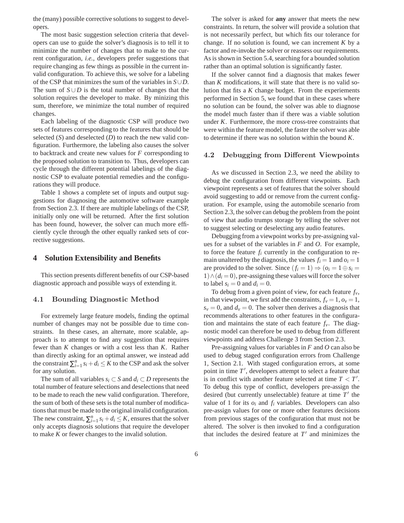the (many) possible corrective solutions to suggest to developers.

The most basic suggestion selection criteria that developers can use to guide the solver's diagnosis is to tell it to minimize the number of changes that to make to the current configuration, *i.e.*, developers prefer suggestions that require changing as few things as possible in the current invalid configuration. To achieve this, we solve for a labeling of the CSP that minimizes the sum of the variables in *S*∪*D*. The sum of  $S \cup D$  is the total number of changes that the solution requires the developer to make. By minizing this sum, therefore, we minimize the total number of required changes.

Each labeling of the diagnostic CSP will produce two sets of features corresponding to the features that should be selected (*S*) and deselected (*D*) to reach the new valid configuration. Furthermore, the labeling also causes the solver to backtrack and create new values for *F* corresponding to the proposed solution to transition to. Thus, developers can cycle through the different potential labelings of the diagnostic CSP to evaluate potential remedies and the configurations they will produce.

Table 1 shows a complete set of inputs and output suggestions for diagnosing the automotive software example from Section 2.3. If there are multiple labelings of the CSP, initially only one will be returned. After the first solution has been found, however, the solver can much more efficiently cycle through the other equally ranked sets of corrective suggestions.

## **4 Solution Extensibility and Benefits**

This section presents different benefits of our CSP-based diagnostic approach and possible ways of extending it.

## 4.1 Bounding Diagnostic Method

For extremely large feature models, finding the optimal number of changes may not be possible due to time constraints. In these cases, an alternate, more scalable, approach is to attempt to find any suggestion that requires fewer than *K* changes or with a cost less than *K*. Rather than directly asking for an optimal answer, we instead add the constraint  $\sum_{i=1}^{n} s_i + d_i \leq K$  to the CSP and ask the solver for any solution.

The sum of all variables *s*<sup>*i*</sup> ⊂ *S* and *d*<sup>*i*</sup> ⊂ *D* represents the total number of feature selections and deselections that need to be made to reach the new valid configuration. Therefore, the sum of both of these sets is the total number of modifications that must be made to the original invalid configuration. The new constraint,  $\sum_{i=1}^{n} s_i + d_i \leq K$ , ensures that the solver only accepts diagnosis solutions that require the developer to make *K* or fewer changes to the invalid solution.

The solver is asked for **any** answer that meets the new constraints. In return, the solver will provide a solution that is not necessarily perfect, but which fits our tolerance for change. If no solution is found, we can increment *K* by a factor and re-invoke the solver or reassess our requirements. As is shown in Section 5.4, searching for a bounded solution rather than an optimal solution is significantly faster.

If the solver cannot find a diagnosis that makes fewer than *K* modifications, it will state that there is no valid solution that fits a *K* change budget. From the experiements performed in Section 5, we found that in these cases where no solution can be found, the solver was able to diagnose the model much faster than if there was a viable solution under *K*. Furthermore, the more cross-tree constraints that were within the feature model, the faster the solver was able to determine if there was no solution within the bound *K*.

#### 4.2 Debugging from Different Viewpoints

As we discussed in Section 2.3, we need the ability to debug the configuration from different viewpoints. Each viewpoint represents a set of features that the solver should avoid suggesting to add or remove from the current configuration. For example, using the automobile scenario from Section 2.3, the solver can debug the problem from the point of view that audio trumps storage by telling the solver not to suggest selecting or deselecting any audio features.

Debugging from a viewpoint works by pre-assigning values for a subset of the variables in *F* and *O*. For example, to force the feature *f<sup>i</sup>* currently in the configuration to remain unaltered by the diagnosis, the values  $f_i = 1$  and  $o_i = 1$ are provided to the solver. Since  $(f_i = 1) \Rightarrow (o_i = 1 \oplus s_i =$  $1) \wedge (d_i = 0)$ , pre-assigning these values will force the solver to label  $s_i = 0$  and  $d_i = 0$ .

To debug from a given point of view, for each feature *fv*, in that viewpoint, we first add the constraints,  $f_v = 1$ ,  $o_v = 1$ ,  $s_v = 0$ , and  $d_v = 0$ . The solver then derives a diagnosis that recommends alterations to other features in the configuration and maintains the state of each feature  $f_\nu$ . The diagnostic model can therefore be used to debug from different viewpoints and address Challenge 3 from Section 2.3.

Pre-assigning values for variables in *F* and *O* can also be used to debug staged configuration errors from Challenge 1, Section 2.1. With staged configuration errors, at some point in time T', developers attempt to select a feature that is in conflict with another feature selected at time  $T < T'$ . To debug this type of conflict, developers pre-assign the desired (but currently unselectable) feature at time  $T'$  the value of 1 for its  $o_i$  and  $f_i$  variables. Developers can also pre-assign values for one or more other features decisions from previous stages of the configuration that must not be altered. The solver is then invoked to find a configuration that includes the desired feature at  $T'$  and minimizes the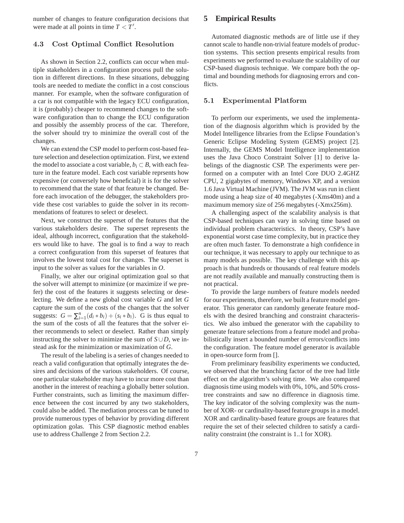number of changes to feature configuration decisions that were made at all points in time  $T < T'$ .

## 4.3 Cost Optimal Conflict Resolution

As shown in Section 2.2, conflicts can occur when multiple stakeholders in a configuration process pull the solution in different directions. In these situations, debugging tools are needed to mediate the conflict in a cost conscious manner. For example, when the software configuration of a car is not compatible with the legacy ECU configuration, it is (probably) cheaper to recommend changes to the software configuration than to change the ECU configuration and possibly the assembly process of the car. Therefore, the solver should try to minimize the overall cost of the changes.

We can extend the CSP model to perform cost-based feature selection and deselection optimization. First, we extend the model to associate a cost variable,  $b_i \subset B$ , with each feature in the feature model. Each cost variable reprsents how expensive (or conversely how beneficial) it is for the solver to recommend that the state of that feature be changed. Before each invocation of the debugger, the stakeholders provide these cost variables to guide the solver in its recommendations of features to select or deselect.

Next, we construct the superset of the features that the various stakeholders desire. The superset represents the ideal, although incorrect, configuration that the stakeholders would like to have. The goal is to find a way to reach a correct configuration from this superset of features that involves the lowest total cost for changes. The superset is input to the solver as values for the variables in *O*.

Finally, we alter our original optimization goal so that the solver will attempt to minimize (or maximize if we prefer) the cost of the features it suggests selecting or deselecting. We define a new global cost variable *G* and let *G* capture the sum of the costs of the changes that the solver suggests:  $G = \sum_{i=1}^{n} (d_i * b_i) + (s_i * b_i)$ . G is thus equal to the sum of the costs of all the features that the solver either recommends to select or deselect. Rather than simply instructing the solver to minimize the sum of  $S \cup D$ , we instead ask for the minimization or maximization of *G*.

The result of the labeling is a series of changes needed to reach a valid configuration that optimally integrates the desires and decisions of the various stakeholders. Of course, one particular stakeholder may have to incur more cost than another in the interest of reaching a globally better solution. Further constraints, such as limiting the maximum difference between the cost incurred by any two stakeholders, could also be added. The mediation process can be tuned to provide numerous types of behavior by providing different optimization golas. This CSP diagnostic method enables use to address Challenge 2 from Section 2.2.

## **5 Empirical Results**

Automated diagnostic methods are of little use if they cannot scale to handle non-trivial feature models of production systems. This section presents empirical results from experiments we performed to evaluate the scalability of our CSP-based diagnosis technique. We compare both the optimal and bounding methods for diagnosing errors and conflicts.

#### 5.1 Experimental Platform

To perform our experiments, we used the implementation of the diagnosis algorithm which is provided by the Model Intelligence libraries from the Eclipse Foundation's Generic Eclipse Modeling System (GEMS) project [2]. Internally, the GEMS Model Intelligence implementation uses the Java Choco Constraint Solver [1] to derive labelings of the diagnostic CSP. The experiments were performed on a computer with an Intel Core DUO 2.4GHZ CPU, 2 gigabytes of memory, Windows XP, and a version 1.6 Java Virtual Machine (JVM). The JVM was run in client mode using a heap size of 40 megabytes (-Xms40m) and a maximum memory size of 256 megabytes (-Xmx256m).

A challenging aspect of the scalability analysis is that CSP-based techniques can vary in solving time based on individual problem characteristics. In theory, CSP's have exponential worst case time complexity, but in practice they are often much faster. To demonstrate a high confidence in our technique, it was necessary to apply our technique to as many models as possible. The key challenge with this approach is that hundreds or thousands of real feature models are not readily available and manually constructing them is not practical.

To provide the large numbers of feature models needed for our experiments, therefore, we built a feature model generator. This generator can randomly generate feature models with the desired branching and constraint characteristics. We also imbued the generator with the capability to generate feature selections from a feature model and probabilistically insert a bounded number of errors/conflicts into the configuration. The feature model generator is available in open-source form from [].

From preliminary feasibility experiments we conducted, we observed that the branching factor of the tree had little effect on the algorithm's solving time. We also compared diagnosis time using models with 0%, 10%, and 50% crosstree constraints and saw no difference in diagnosis time. The key indicator of the solving complexity was the number of XOR- or cardinality-based feature groups in a model. XOR and cardinality-based feature groups are features that require the set of their selected children to satisfy a cardinality constraint (the constraint is 1..1 for XOR).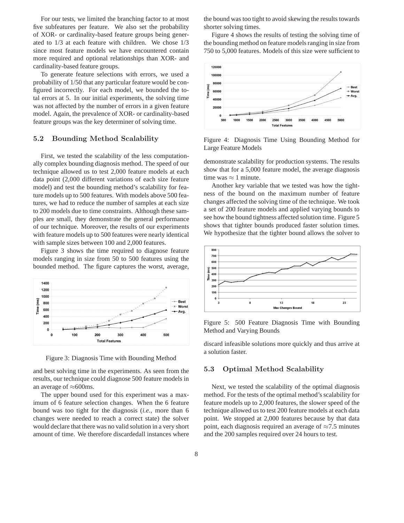For our tests, we limited the branching factor to at most five subfeatures per feature. We also set the probability of XOR- or cardinality-based feature groups being generated to 1/3 at each feature with children. We chose 1/3 since most feature models we have encountered contain more required and optional relationships than XOR- and cardinality-based feature groups.

To generate feature selections with errors, we used a probability of 1/50 that any particular feature would be configured incorrectly. For each model, we bounded the total errors at 5. In our initial experiments, the solving time was not affected by the number of errors in a given feature model. Again, the prevalence of XOR- or cardinality-based feature groups was the key determiner of solving time.

#### 5.2 Bounding Method Scalability

First, we tested the scalability of the less computationally complex bounding diagnosis method. The speed of our technique allowed us to test 2,000 feature models at each data point (2,000 different variations of each size feature model) and test the bounding method's scalability for feature models up to 500 features. With models above 500 features, we had to reduce the number of samples at each size to 200 models due to time constraints. Although these samples are small, they demonstrate the general performance of our technique. Moreover, the results of our experiments with feature models up to 500 features were nearly identical with sample sizes between 100 and 2,000 features.

Figure 3 shows the time required to diagnose feature models ranging in size from 50 to 500 features using the bounded method. The figure captures the worst, average,



Figure 3: Diagnosis Time with Bounding Method

and best solving time in the experiments. As seen from the results, our technique could diagnose 500 feature models in an average of  $\approx 600$ ms.

The upper bound used for this experiment was a maximum of 6 feature selection changes. When the 6 feature bound was too tight for the diagnosis (*i.e.*, more than 6 changes were needed to reach a correct state) the solver would declare that there was no valid solution in a very short amount of time. We therefore discardedall instances where the bound was too tight to avoid skewing the results towards shorter solving times.

Figure 4 shows the results of testing the solving time of the bounding method on feature models ranging in size from 750 to 5,000 features. Models of this size were sufficient to



Figure 4: Diagnosis Time Using Bounding Method for Large Feature Models

demonstrate scalability for production systems. The results show that for a 5,000 feature model, the average diagnosis time was  $\approx 1$  minute.

Another key variable that we tested was how the tightness of the bound on the maximum number of feature changes affected the solving time of the technique. We took a set of 200 feature models and applied varying bounds to see how the bound tightness affected solution time. Figure 5 shows that tighter bounds produced faster solution times. We hypothesize that the tighter bound allows the solver to



Figure 5: 500 Feature Diagnosis Time with Bounding Method and Varying Bounds

discard infeasible solutions more quickly and thus arrive at a solution faster.

#### 5.3 Optimal Method Scalability

Next, we tested the scalability of the optimal diagnosis method. For the tests of the optimal method's scalability for feature models up to 2,000 features, the slower speed of the technique allowed us to test 200 feature models at each data point. We stopped at 2,000 features because by that data point, each diagnosis required an average of  $\approx 7.5$  minutes and the 200 samples required over 24 hours to test.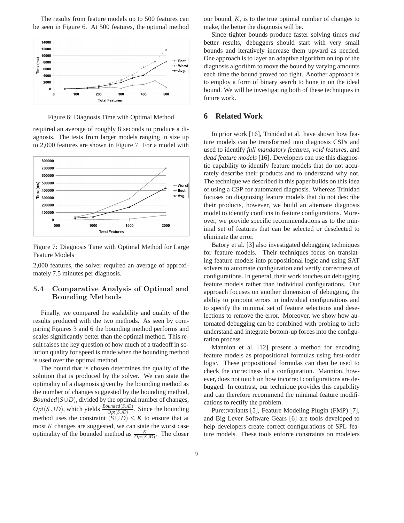The results from feature models up to 500 features can be seen in Figure 6. At 500 features, the optimal method



Figure 6: Diagnosis Time with Optimal Method

required an average of roughly 8 seconds to produce a diagnosis. The tests from larger models ranging in size up to 2,000 features are shown in Figure 7. For a model with



Figure 7: Diagnosis Time with Optimal Method for Large Feature Models

2,000 features, the solver required an average of approximately 7.5 minutes per diagnosis.

## 5.4 Comparative Analysis of Optimal and Bounding Methods

Finally, we compared the scalability and quality of the results produced with the two methods. As seen by comparing Figures 3 and 6 the bounding method performs and scales significantly better than the optimal method. This result raises the key question of how much of a tradeoff in solution quality for speed is made when the bounding method is used over the optimal method.

The bound that is chosen determines the quality of the solution that is produced by the solver. We can state the optimality of a diagnosis given by the bounding method as the number of changes suggested by the bounding method, *Bounded*( $S \cup D$ ), divided by the optimal number of changes,  $Opt(S \cup D)$ , which yields  $\frac{Bounded(S \cup D)}{Opt(S \cup D)}$ . Since the bounding method uses the constraint  $(S \cup D) \leq K$  to ensure that at most *K* changes are suggested, we can state the worst case optimality of the bounded method as  $\frac{K}{Opt(S \cup D)}$ . The closer

our bound, *K*, is to the true optimal number of changes to make, the better the diagnosis will be.

Since tighter bounds produce faster solving times *and* better results, debuggers should start with very small bounds and iteratively increase them upward as needed. One approach is to layer an adaptive algorithm on top of the diagnosis algorithm to move the bound by varying amounts each time the bound proved too tight. Another approach is to employ a form of binary search to hone in on the ideal bound. We will be investigating both of these techniques in future work.

## **6 Related Work**

In prior work [16], Trinidad et al. have shown how feature models can be transformed into diagnosis CSPs and used to identify *full mandatory features*, *void features*, and *dead feature models* [16]. Developers can use this diagnostic capability to identify feature models that do not accurately describe their products and to understand why not. The technique we described in this paper builds on this idea of using a CSP for automated diagnosis. Whereas Trinidad focuses on diagnosing feature models that do not describe their products, however, we build an alternate diagnosis model to identify conflicts in feature configurations. Moreover, we provide specific recommendations as to the minimal set of features that can be selected or deselected to eliminate the error.

Batory et al. [3] also investigated debugging techniques for feature models. Their techniques focus on translating feature models into propositional logic and using SAT solvers to automate configuration and verify correctness of configurations. In general, their work touches on debugging feature models rather than individual configurations. Our approach focuses on another dimension of debugging, the ability to pinpoint errors in individual configurations and to specify the minimal set of feature selections and deselections to remove the error. Moreover, we show how automated debugging can be combined with probing to help understand and integrate bottom-up forces into the configuration process.

Mannion et al. [12] present a method for encoding feature models as propositional formulas using first-order logic. These propositional formulas can then be used to check the correctness of a configuration. Mannion, however, does not touch on how incorrect configurations are debugged. In contrast, our technique provides this capability and can therefore recommend the minimal feature modifications to rectify the problem.

Pure::variants [5], Feature Modeling Plugin (FMP) [7], and Big Lever Software Gears [6] are tools developed to help developers create correct configurations of SPL feature models. These tools enforce constraints on modelers